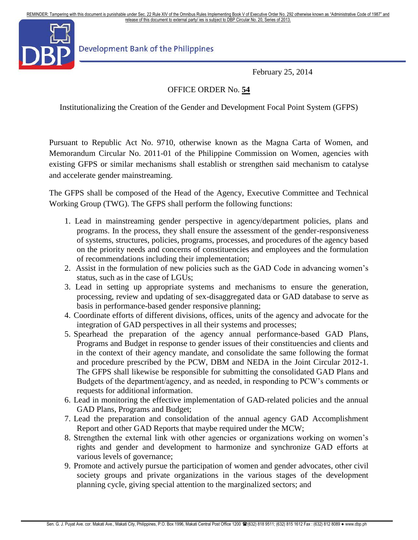REMINDER: Tampering with this document is punishable under Sec. 22 Rule XIV of the Omnibus Rules Implementing Book V of Executive Order No. 292 otherwise known as "Administrative Code of 1987" and release of this document to external party/ ies is subject to DBP Circular No. 20, Series of 2013. release of this document to external party/ ies is subject to DBP Circular No. 20, Series of 2013.



Development Bank of the Philippines

February 25, 2014

## OFFICE ORDER No. **54**

Institutionalizing the Creation of the Gender and Development Focal Point System (GFPS)

Pursuant to Republic Act No. 9710, otherwise known as the Magna Carta of Women, and Memorandum Circular No. 2011-01 of the Philippine Commission on Women, agencies with existing GFPS or similar mechanisms shall establish or strengthen said mechanism to catalyse and accelerate gender mainstreaming.

The GFPS shall be composed of the Head of the Agency, Executive Committee and Technical Working Group (TWG). The GFPS shall perform the following functions:

- 1. Lead in mainstreaming gender perspective in agency/department policies, plans and programs. In the process, they shall ensure the assessment of the gender-responsiveness of systems, structures, policies, programs, processes, and procedures of the agency based on the priority needs and concerns of constituencies and employees and the formulation of recommendations including their implementation;
- 2. Assist in the formulation of new policies such as the GAD Code in advancing women's status, such as in the case of LGUs;
- 3. Lead in setting up appropriate systems and mechanisms to ensure the generation, processing, review and updating of sex-disaggregated data or GAD database to serve as basis in performance-based gender responsive planning;
- 4. Coordinate efforts of different divisions, offices, units of the agency and advocate for the integration of GAD perspectives in all their systems and processes;
- 5. Spearhead the preparation of the agency annual performance-based GAD Plans, Programs and Budget in response to gender issues of their constituencies and clients and in the context of their agency mandate, and consolidate the same following the format and procedure prescribed by the PCW, DBM and NEDA in the Joint Circular 2012-1. The GFPS shall likewise be responsible for submitting the consolidated GAD Plans and Budgets of the department/agency, and as needed, in responding to PCW's comments or requests for additional information.
- 6. Lead in monitoring the effective implementation of GAD-related policies and the annual GAD Plans, Programs and Budget;
- 7. Lead the preparation and consolidation of the annual agency GAD Accomplishment Report and other GAD Reports that maybe required under the MCW;
- 8. Strengthen the external link with other agencies or organizations working on women's rights and gender and development to harmonize and synchronize GAD efforts at various levels of governance;
- 9. Promote and actively pursue the participation of women and gender advocates, other civil society groups and private organizations in the various stages of the development planning cycle, giving special attention to the marginalized sectors; and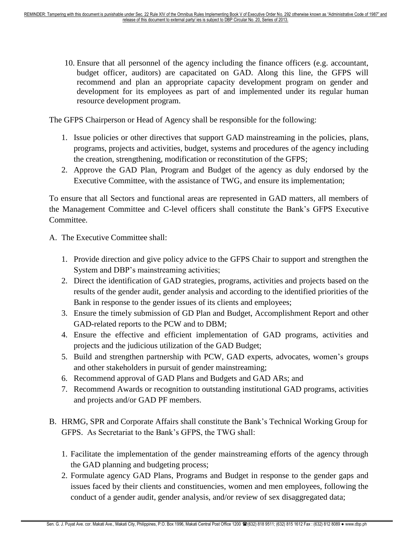10. Ensure that all personnel of the agency including the finance officers (e.g. accountant, budget officer, auditors) are capacitated on GAD. Along this line, the GFPS will recommend and plan an appropriate capacity development program on gender and development for its employees as part of and implemented under its regular human resource development program.

The GFPS Chairperson or Head of Agency shall be responsible for the following:

- 1. Issue policies or other directives that support GAD mainstreaming in the policies, plans, programs, projects and activities, budget, systems and procedures of the agency including the creation, strengthening, modification or reconstitution of the GFPS;
- 2. Approve the GAD Plan, Program and Budget of the agency as duly endorsed by the Executive Committee, with the assistance of TWG, and ensure its implementation;

To ensure that all Sectors and functional areas are represented in GAD matters, all members of the Management Committee and C-level officers shall constitute the Bank's GFPS Executive Committee.

- A. The Executive Committee shall:
	- 1. Provide direction and give policy advice to the GFPS Chair to support and strengthen the System and DBP's mainstreaming activities;
	- 2. Direct the identification of GAD strategies, programs, activities and projects based on the results of the gender audit, gender analysis and according to the identified priorities of the Bank in response to the gender issues of its clients and employees;
	- 3. Ensure the timely submission of GD Plan and Budget, Accomplishment Report and other GAD-related reports to the PCW and to DBM;
	- 4. Ensure the effective and efficient implementation of GAD programs, activities and projects and the judicious utilization of the GAD Budget;
	- 5. Build and strengthen partnership with PCW, GAD experts, advocates, women's groups and other stakeholders in pursuit of gender mainstreaming;
	- 6. Recommend approval of GAD Plans and Budgets and GAD ARs; and
	- 7. Recommend Awards or recognition to outstanding institutional GAD programs, activities and projects and/or GAD PF members.
- B. HRMG, SPR and Corporate Affairs shall constitute the Bank's Technical Working Group for GFPS. As Secretariat to the Bank's GFPS, the TWG shall:
	- 1. Facilitate the implementation of the gender mainstreaming efforts of the agency through the GAD planning and budgeting process;
	- 2. Formulate agency GAD Plans, Programs and Budget in response to the gender gaps and issues faced by their clients and constituencies, women and men employees, following the conduct of a gender audit, gender analysis, and/or review of sex disaggregated data;